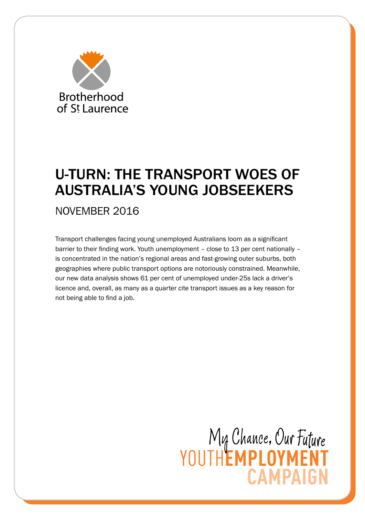

# U-TURN: THE TRANSPORT WOES OF AUSTRALIA'S YOUNG JOBSEEKERS

NOVEMBER 2016

Transport challenges facing young unemployed Australians loom as a significant barrier to their finding work. Youth unemployment – close to 13 per cent nationally – is concentrated in the nation's regional areas and fast-growing outer suburbs, both geographies where public transport options are notoriously constrained. Meanwhile, our new data analysis shows 61 per cent of unemployed under-25s lack a driver's licence and, overall, as many as a quarter cite transport issues as a key reason for not being able to find a job.

> My Chance, Our Future<br>YOUTHEMPLOYMENT **CAMPAIGN**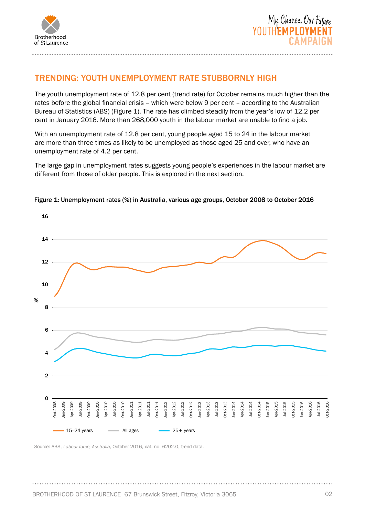



# TRENDING: YOUTH UNEMPLOYMENT RATE STUBBORNLY HIGH

The youth unemployment rate of 12.8 per cent (trend rate) for October remains much higher than the rates before the global financial crisis – which were below 9 per cent – according to the Australian Bureau of Statistics (ABS) (Figure 1). The rate has climbed steadily from the year's low of 12.2 per cent in January 2016. More than 268,000 youth in the labour market are unable to find a job.

With an unemployment rate of 12.8 per cent, young people aged 15 to 24 in the labour market are more than three times as likely to be unemployed as those aged 25 and over, who have an unemployment rate of 4.2 per cent.

The large gap in unemployment rates suggests young people's experiences in the labour market are different from those of older people. This is explored in the next section.



#### Figure 1: Unemployment rates (%) in Australia, various age groups, October 2008 to October 2016

Source: ABS, *Labour force, Australia,* October 2016, cat. no. 6202.0, trend data.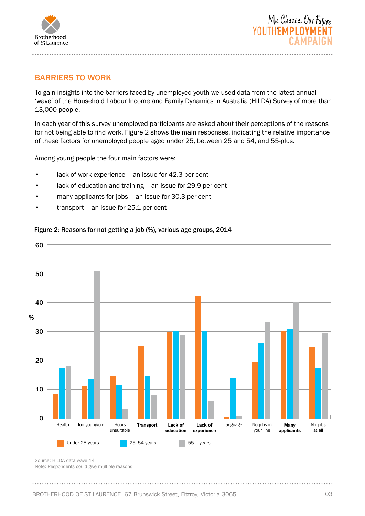



## BARRIERS TO WORK

To gain insights into the barriers faced by unemployed youth we used data from the latest annual 'wave' of the Household Labour Income and Family Dynamics in Australia (HILDA) Survey of more than 13,000 people.

In each year of this survey unemployed participants are asked about their perceptions of the reasons for not being able to find work. Figure 2 shows the main responses, indicating the relative importance of these factors for unemployed people aged under 25, between 25 and 54, and 55-plus.

Among young people the four main factors were:

- lack of work experience an issue for 42.3 per cent
- lack of education and training an issue for 29.9 per cent
- many applicants for jobs an issue for 30.3 per cent
- transport an issue for 25.1 per cent

### Figure 2: Reasons for not getting a job (%), various age groups, 2014



Source: HILDA data wave 14

Note: Respondents could give multiple reasons